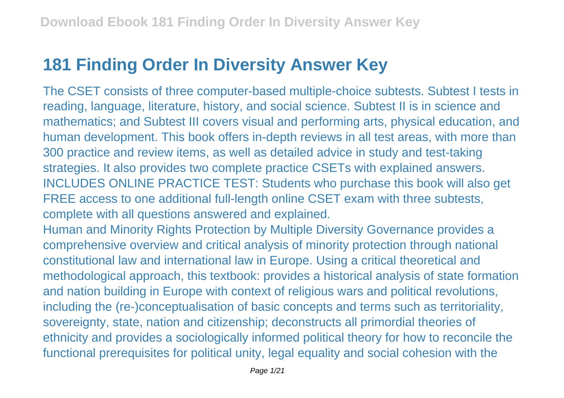## **181 Finding Order In Diversity Answer Key**

The CSET consists of three computer-based multiple-choice subtests. Subtest I tests in reading, language, literature, history, and social science. Subtest II is in science and mathematics; and Subtest III covers visual and performing arts, physical education, and human development. This book offers in-depth reviews in all test areas, with more than 300 practice and review items, as well as detailed advice in study and test-taking strategies. It also provides two complete practice CSETs with explained answers. INCLUDES ONLINE PRACTICE TEST: Students who purchase this book will also get FREE access to one additional full-length online CSET exam with three subtests, complete with all questions answered and explained.

Human and Minority Rights Protection by Multiple Diversity Governance provides a comprehensive overview and critical analysis of minority protection through national constitutional law and international law in Europe. Using a critical theoretical and methodological approach, this textbook: provides a historical analysis of state formation and nation building in Europe with context of religious wars and political revolutions, including the (re-)conceptualisation of basic concepts and terms such as territoriality, sovereignty, state, nation and citizenship; deconstructs all primordial theories of ethnicity and provides a sociologically informed political theory for how to reconcile the functional prerequisites for political unity, legal equality and social cohesion with the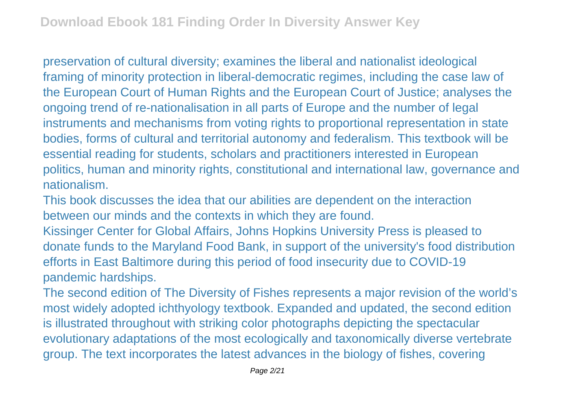preservation of cultural diversity; examines the liberal and nationalist ideological framing of minority protection in liberal-democratic regimes, including the case law of the European Court of Human Rights and the European Court of Justice; analyses the ongoing trend of re-nationalisation in all parts of Europe and the number of legal instruments and mechanisms from voting rights to proportional representation in state bodies, forms of cultural and territorial autonomy and federalism. This textbook will be essential reading for students, scholars and practitioners interested in European politics, human and minority rights, constitutional and international law, governance and nationalism.

This book discusses the idea that our abilities are dependent on the interaction between our minds and the contexts in which they are found.

Kissinger Center for Global Affairs, Johns Hopkins University Press is pleased to donate funds to the Maryland Food Bank, in support of the university's food distribution efforts in East Baltimore during this period of food insecurity due to COVID-19 pandemic hardships.

The second edition of The Diversity of Fishes represents a major revision of the world's most widely adopted ichthyology textbook. Expanded and updated, the second edition is illustrated throughout with striking color photographs depicting the spectacular evolutionary adaptations of the most ecologically and taxonomically diverse vertebrate group. The text incorporates the latest advances in the biology of fishes, covering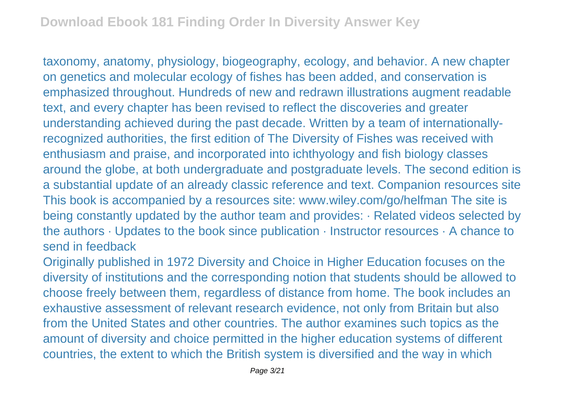taxonomy, anatomy, physiology, biogeography, ecology, and behavior. A new chapter on genetics and molecular ecology of fishes has been added, and conservation is emphasized throughout. Hundreds of new and redrawn illustrations augment readable text, and every chapter has been revised to reflect the discoveries and greater understanding achieved during the past decade. Written by a team of internationallyrecognized authorities, the first edition of The Diversity of Fishes was received with enthusiasm and praise, and incorporated into ichthyology and fish biology classes around the globe, at both undergraduate and postgraduate levels. The second edition is a substantial update of an already classic reference and text. Companion resources site This book is accompanied by a resources site: www.wiley.com/go/helfman The site is being constantly updated by the author team and provides: · Related videos selected by the authors · Updates to the book since publication · Instructor resources · A chance to send in feedback

Originally published in 1972 Diversity and Choice in Higher Education focuses on the diversity of institutions and the corresponding notion that students should be allowed to choose freely between them, regardless of distance from home. The book includes an exhaustive assessment of relevant research evidence, not only from Britain but also from the United States and other countries. The author examines such topics as the amount of diversity and choice permitted in the higher education systems of different countries, the extent to which the British system is diversified and the way in which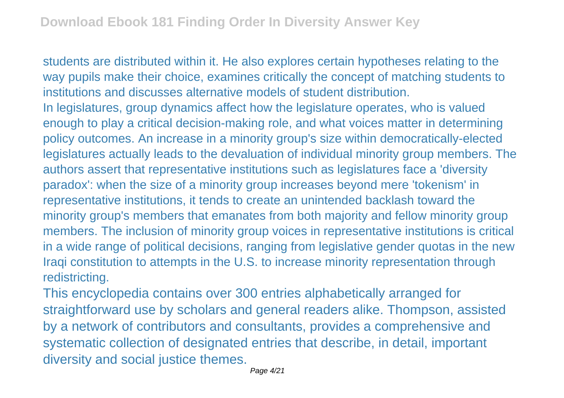students are distributed within it. He also explores certain hypotheses relating to the way pupils make their choice, examines critically the concept of matching students to institutions and discusses alternative models of student distribution. In legislatures, group dynamics affect how the legislature operates, who is valued enough to play a critical decision-making role, and what voices matter in determining policy outcomes. An increase in a minority group's size within democratically-elected legislatures actually leads to the devaluation of individual minority group members. The authors assert that representative institutions such as legislatures face a 'diversity paradox': when the size of a minority group increases beyond mere 'tokenism' in representative institutions, it tends to create an unintended backlash toward the minority group's members that emanates from both majority and fellow minority group members. The inclusion of minority group voices in representative institutions is critical in a wide range of political decisions, ranging from legislative gender quotas in the new Iraqi constitution to attempts in the U.S. to increase minority representation through redistricting.

This encyclopedia contains over 300 entries alphabetically arranged for straightforward use by scholars and general readers alike. Thompson, assisted by a network of contributors and consultants, provides a comprehensive and systematic collection of designated entries that describe, in detail, important diversity and social justice themes.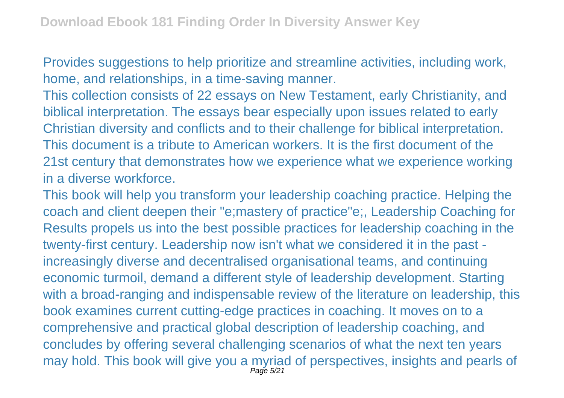Provides suggestions to help prioritize and streamline activities, including work, home, and relationships, in a time-saving manner.

This collection consists of 22 essays on New Testament, early Christianity, and biblical interpretation. The essays bear especially upon issues related to early Christian diversity and conflicts and to their challenge for biblical interpretation. This document is a tribute to American workers. It is the first document of the 21st century that demonstrates how we experience what we experience working in a diverse workforce.

This book will help you transform your leadership coaching practice. Helping the coach and client deepen their "e;mastery of practice"e;, Leadership Coaching for Results propels us into the best possible practices for leadership coaching in the twenty-first century. Leadership now isn't what we considered it in the past increasingly diverse and decentralised organisational teams, and continuing economic turmoil, demand a different style of leadership development. Starting with a broad-ranging and indispensable review of the literature on leadership, this book examines current cutting-edge practices in coaching. It moves on to a comprehensive and practical global description of leadership coaching, and concludes by offering several challenging scenarios of what the next ten years may hold. This book will give you a myriad of perspectives, insights and pearls of Page 5/21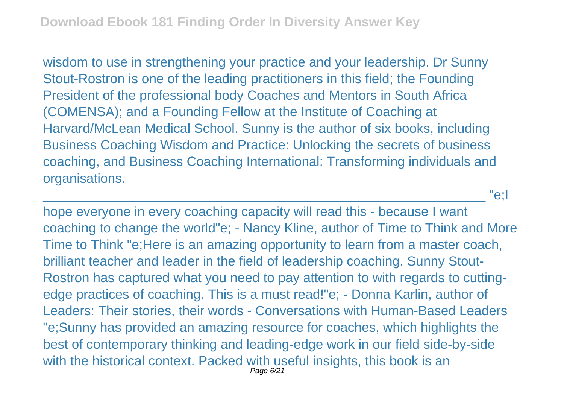wisdom to use in strengthening your practice and your leadership. Dr Sunny Stout-Rostron is one of the leading practitioners in this field; the Founding President of the professional body Coaches and Mentors in South Africa (COMENSA); and a Founding Fellow at the Institute of Coaching at Harvard/McLean Medical School. Sunny is the author of six books, including Business Coaching Wisdom and Practice: Unlocking the secrets of business coaching, and Business Coaching International: Transforming individuals and organisations.

\_\_\_\_\_\_\_\_\_\_\_\_\_\_\_\_\_\_\_\_\_\_\_\_\_\_\_\_\_\_\_\_\_\_\_\_\_\_\_\_\_\_\_\_\_\_\_\_\_\_\_\_\_\_\_\_\_\_\_\_ "e;I

hope everyone in every coaching capacity will read this - because I want coaching to change the world"e; - Nancy Kline, author of Time to Think and More Time to Think "e;Here is an amazing opportunity to learn from a master coach, brilliant teacher and leader in the field of leadership coaching. Sunny Stout-Rostron has captured what you need to pay attention to with regards to cuttingedge practices of coaching. This is a must read!"e; - Donna Karlin, author of Leaders: Their stories, their words - Conversations with Human-Based Leaders "e;Sunny has provided an amazing resource for coaches, which highlights the best of contemporary thinking and leading-edge work in our field side-by-side with the historical context. Packed with useful insights, this book is an Page 6/21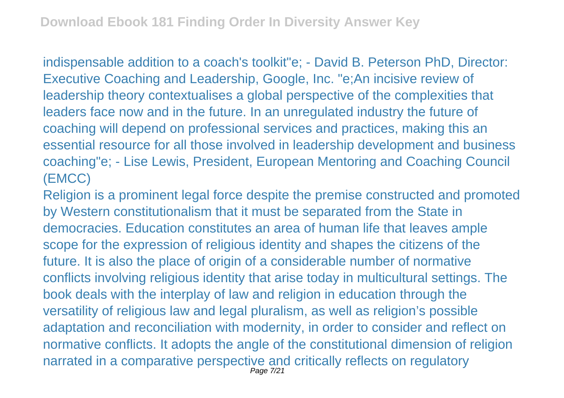indispensable addition to a coach's toolkit"e; - David B. Peterson PhD, Director: Executive Coaching and Leadership, Google, Inc. "e;An incisive review of leadership theory contextualises a global perspective of the complexities that leaders face now and in the future. In an unregulated industry the future of coaching will depend on professional services and practices, making this an essential resource for all those involved in leadership development and business coaching"e; - Lise Lewis, President, European Mentoring and Coaching Council (EMCC)

Religion is a prominent legal force despite the premise constructed and promoted by Western constitutionalism that it must be separated from the State in democracies. Education constitutes an area of human life that leaves ample scope for the expression of religious identity and shapes the citizens of the future. It is also the place of origin of a considerable number of normative conflicts involving religious identity that arise today in multicultural settings. The book deals with the interplay of law and religion in education through the versatility of religious law and legal pluralism, as well as religion's possible adaptation and reconciliation with modernity, in order to consider and reflect on normative conflicts. It adopts the angle of the constitutional dimension of religion narrated in a comparative perspective and critically reflects on regulatory Page 7/21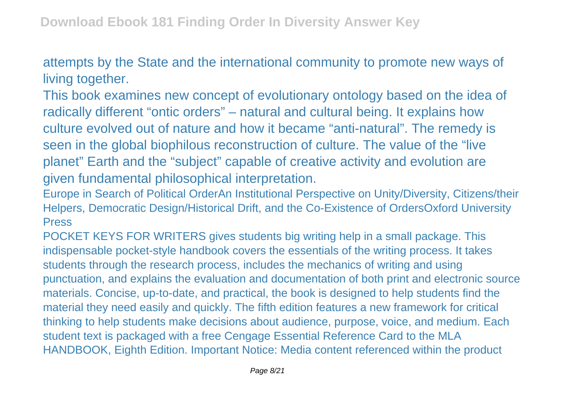attempts by the State and the international community to promote new ways of living together.

This book examines new concept of evolutionary ontology based on the idea of radically different "ontic orders" – natural and cultural being. It explains how culture evolved out of nature and how it became "anti-natural". The remedy is seen in the global biophilous reconstruction of culture. The value of the "live planet" Earth and the "subject" capable of creative activity and evolution are given fundamental philosophical interpretation.

Europe in Search of Political OrderAn Institutional Perspective on Unity/Diversity, Citizens/their Helpers, Democratic Design/Historical Drift, and the Co-Existence of OrdersOxford University Press

POCKET KEYS FOR WRITERS gives students big writing help in a small package. This indispensable pocket-style handbook covers the essentials of the writing process. It takes students through the research process, includes the mechanics of writing and using punctuation, and explains the evaluation and documentation of both print and electronic source materials. Concise, up-to-date, and practical, the book is designed to help students find the material they need easily and quickly. The fifth edition features a new framework for critical thinking to help students make decisions about audience, purpose, voice, and medium. Each student text is packaged with a free Cengage Essential Reference Card to the MLA HANDBOOK, Eighth Edition. Important Notice: Media content referenced within the product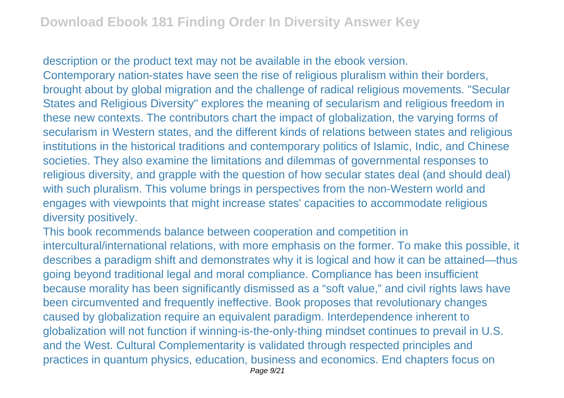description or the product text may not be available in the ebook version.

Contemporary nation-states have seen the rise of religious pluralism within their borders, brought about by global migration and the challenge of radical religious movements. "Secular States and Religious Diversity" explores the meaning of secularism and religious freedom in these new contexts. The contributors chart the impact of globalization, the varying forms of secularism in Western states, and the different kinds of relations between states and religious institutions in the historical traditions and contemporary politics of Islamic, Indic, and Chinese societies. They also examine the limitations and dilemmas of governmental responses to religious diversity, and grapple with the question of how secular states deal (and should deal) with such pluralism. This volume brings in perspectives from the non-Western world and engages with viewpoints that might increase states' capacities to accommodate religious diversity positively.

This book recommends balance between cooperation and competition in intercultural/international relations, with more emphasis on the former. To make this possible, it describes a paradigm shift and demonstrates why it is logical and how it can be attained—thus going beyond traditional legal and moral compliance. Compliance has been insufficient because morality has been significantly dismissed as a "soft value," and civil rights laws have been circumvented and frequently ineffective. Book proposes that revolutionary changes caused by globalization require an equivalent paradigm. Interdependence inherent to globalization will not function if winning-is-the-only-thing mindset continues to prevail in U.S. and the West. Cultural Complementarity is validated through respected principles and practices in quantum physics, education, business and economics. End chapters focus on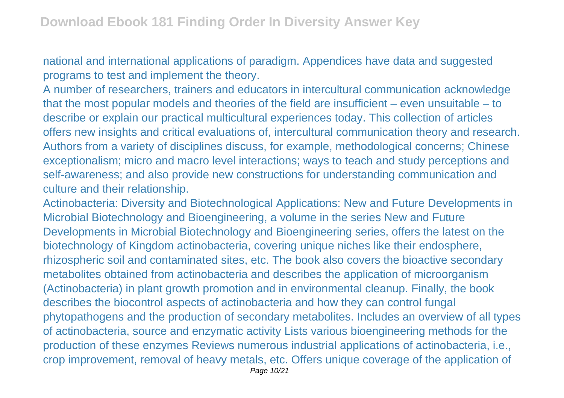national and international applications of paradigm. Appendices have data and suggested programs to test and implement the theory.

A number of researchers, trainers and educators in intercultural communication acknowledge that the most popular models and theories of the field are insufficient – even unsuitable – to describe or explain our practical multicultural experiences today. This collection of articles offers new insights and critical evaluations of, intercultural communication theory and research. Authors from a variety of disciplines discuss, for example, methodological concerns; Chinese exceptionalism; micro and macro level interactions; ways to teach and study perceptions and self-awareness; and also provide new constructions for understanding communication and culture and their relationship.

Actinobacteria: Diversity and Biotechnological Applications: New and Future Developments in Microbial Biotechnology and Bioengineering, a volume in the series New and Future Developments in Microbial Biotechnology and Bioengineering series, offers the latest on the biotechnology of Kingdom actinobacteria, covering unique niches like their endosphere, rhizospheric soil and contaminated sites, etc. The book also covers the bioactive secondary metabolites obtained from actinobacteria and describes the application of microorganism (Actinobacteria) in plant growth promotion and in environmental cleanup. Finally, the book describes the biocontrol aspects of actinobacteria and how they can control fungal phytopathogens and the production of secondary metabolites. Includes an overview of all types of actinobacteria, source and enzymatic activity Lists various bioengineering methods for the production of these enzymes Reviews numerous industrial applications of actinobacteria, i.e., crop improvement, removal of heavy metals, etc. Offers unique coverage of the application of Page 10/21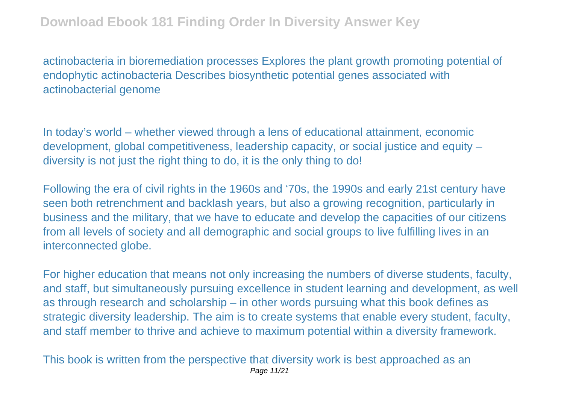actinobacteria in bioremediation processes Explores the plant growth promoting potential of endophytic actinobacteria Describes biosynthetic potential genes associated with actinobacterial genome

In today's world – whether viewed through a lens of educational attainment, economic development, global competitiveness, leadership capacity, or social justice and equity – diversity is not just the right thing to do, it is the only thing to do!

Following the era of civil rights in the 1960s and '70s, the 1990s and early 21st century have seen both retrenchment and backlash years, but also a growing recognition, particularly in business and the military, that we have to educate and develop the capacities of our citizens from all levels of society and all demographic and social groups to live fulfilling lives in an interconnected globe.

For higher education that means not only increasing the numbers of diverse students, faculty, and staff, but simultaneously pursuing excellence in student learning and development, as well as through research and scholarship – in other words pursuing what this book defines as strategic diversity leadership. The aim is to create systems that enable every student, faculty, and staff member to thrive and achieve to maximum potential within a diversity framework.

This book is written from the perspective that diversity work is best approached as an Page 11/21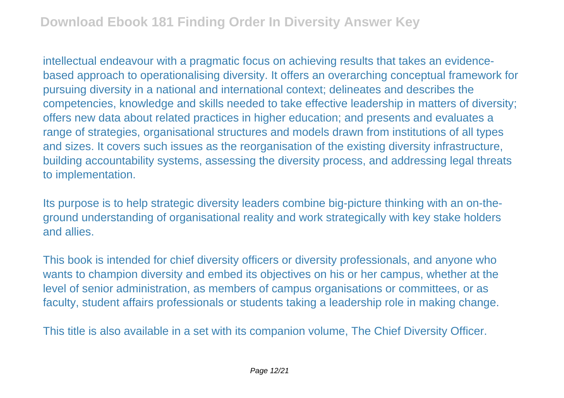intellectual endeavour with a pragmatic focus on achieving results that takes an evidencebased approach to operationalising diversity. It offers an overarching conceptual framework for pursuing diversity in a national and international context; delineates and describes the competencies, knowledge and skills needed to take effective leadership in matters of diversity; offers new data about related practices in higher education; and presents and evaluates a range of strategies, organisational structures and models drawn from institutions of all types and sizes. It covers such issues as the reorganisation of the existing diversity infrastructure, building accountability systems, assessing the diversity process, and addressing legal threats to implementation.

Its purpose is to help strategic diversity leaders combine big-picture thinking with an on-theground understanding of organisational reality and work strategically with key stake holders and allies.

This book is intended for chief diversity officers or diversity professionals, and anyone who wants to champion diversity and embed its objectives on his or her campus, whether at the level of senior administration, as members of campus organisations or committees, or as faculty, student affairs professionals or students taking a leadership role in making change.

This title is also available in a set with its companion volume, The Chief Diversity Officer.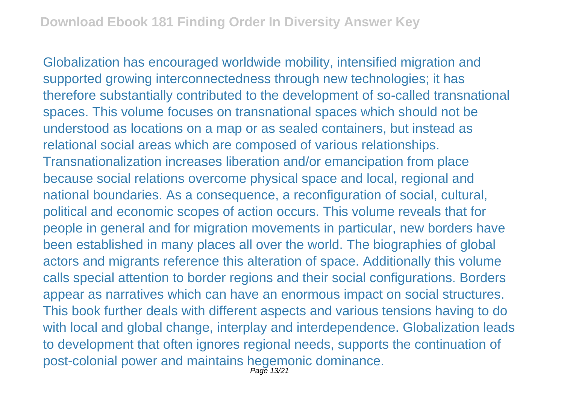Globalization has encouraged worldwide mobility, intensified migration and supported growing interconnectedness through new technologies; it has therefore substantially contributed to the development of so-called transnational spaces. This volume focuses on transnational spaces which should not be understood as locations on a map or as sealed containers, but instead as relational social areas which are composed of various relationships. Transnationalization increases liberation and/or emancipation from place because social relations overcome physical space and local, regional and national boundaries. As a consequence, a reconfiguration of social, cultural, political and economic scopes of action occurs. This volume reveals that for people in general and for migration movements in particular, new borders have been established in many places all over the world. The biographies of global actors and migrants reference this alteration of space. Additionally this volume calls special attention to border regions and their social configurations. Borders appear as narratives which can have an enormous impact on social structures. This book further deals with different aspects and various tensions having to do with local and global change, interplay and interdependence. Globalization leads to development that often ignores regional needs, supports the continuation of post-colonial power and maintains hegemonic dominance.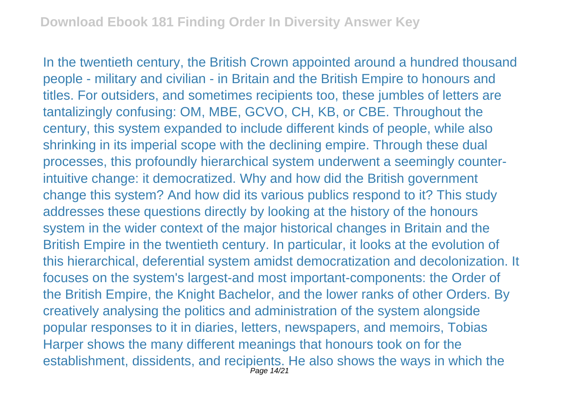In the twentieth century, the British Crown appointed around a hundred thousand people - military and civilian - in Britain and the British Empire to honours and titles. For outsiders, and sometimes recipients too, these jumbles of letters are tantalizingly confusing: OM, MBE, GCVO, CH, KB, or CBE. Throughout the century, this system expanded to include different kinds of people, while also shrinking in its imperial scope with the declining empire. Through these dual processes, this profoundly hierarchical system underwent a seemingly counterintuitive change: it democratized. Why and how did the British government change this system? And how did its various publics respond to it? This study addresses these questions directly by looking at the history of the honours system in the wider context of the major historical changes in Britain and the British Empire in the twentieth century. In particular, it looks at the evolution of this hierarchical, deferential system amidst democratization and decolonization. It focuses on the system's largest-and most important-components: the Order of the British Empire, the Knight Bachelor, and the lower ranks of other Orders. By creatively analysing the politics and administration of the system alongside popular responses to it in diaries, letters, newspapers, and memoirs, Tobias Harper shows the many different meanings that honours took on for the establishment, dissidents, and recipients. He also shows the ways in which the Page 14/21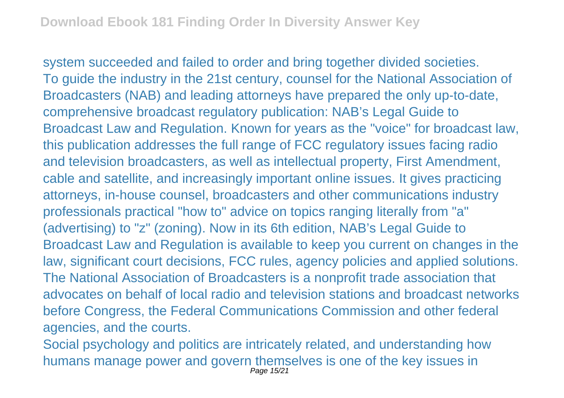system succeeded and failed to order and bring together divided societies. To guide the industry in the 21st century, counsel for the National Association of Broadcasters (NAB) and leading attorneys have prepared the only up-to-date, comprehensive broadcast regulatory publication: NAB's Legal Guide to Broadcast Law and Regulation. Known for years as the "voice" for broadcast law, this publication addresses the full range of FCC regulatory issues facing radio and television broadcasters, as well as intellectual property, First Amendment, cable and satellite, and increasingly important online issues. It gives practicing attorneys, in-house counsel, broadcasters and other communications industry professionals practical "how to" advice on topics ranging literally from "a" (advertising) to "z" (zoning). Now in its 6th edition, NAB's Legal Guide to Broadcast Law and Regulation is available to keep you current on changes in the law, significant court decisions, FCC rules, agency policies and applied solutions. The National Association of Broadcasters is a nonprofit trade association that advocates on behalf of local radio and television stations and broadcast networks before Congress, the Federal Communications Commission and other federal agencies, and the courts.

Social psychology and politics are intricately related, and understanding how humans manage power and govern themselves is one of the key issues in Page 15/21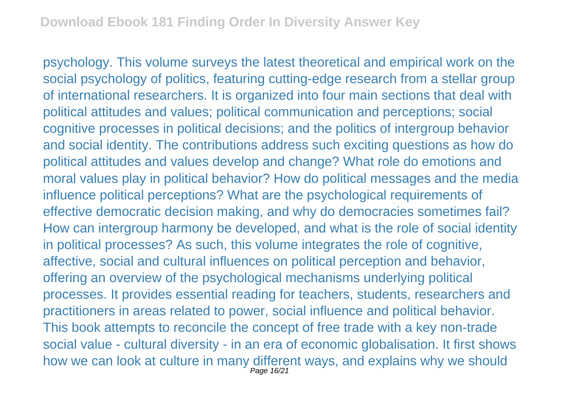psychology. This volume surveys the latest theoretical and empirical work on the social psychology of politics, featuring cutting-edge research from a stellar group of international researchers. It is organized into four main sections that deal with political attitudes and values; political communication and perceptions; social cognitive processes in political decisions; and the politics of intergroup behavior and social identity. The contributions address such exciting questions as how do political attitudes and values develop and change? What role do emotions and moral values play in political behavior? How do political messages and the media influence political perceptions? What are the psychological requirements of effective democratic decision making, and why do democracies sometimes fail? How can intergroup harmony be developed, and what is the role of social identity in political processes? As such, this volume integrates the role of cognitive, affective, social and cultural influences on political perception and behavior, offering an overview of the psychological mechanisms underlying political processes. It provides essential reading for teachers, students, researchers and practitioners in areas related to power, social influence and political behavior. This book attempts to reconcile the concept of free trade with a key non-trade social value - cultural diversity - in an era of economic globalisation. It first shows how we can look at culture in many different ways, and explains why we should Page 16/21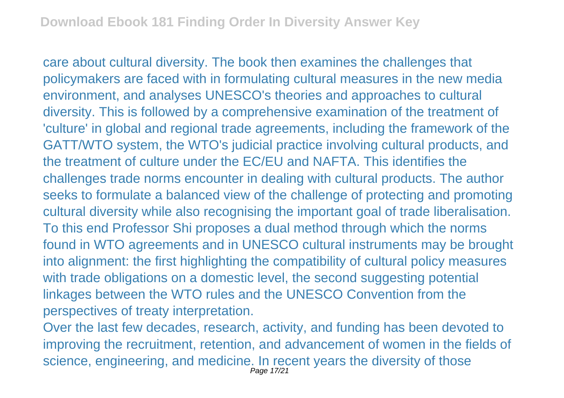care about cultural diversity. The book then examines the challenges that policymakers are faced with in formulating cultural measures in the new media environment, and analyses UNESCO's theories and approaches to cultural diversity. This is followed by a comprehensive examination of the treatment of 'culture' in global and regional trade agreements, including the framework of the GATT/WTO system, the WTO's judicial practice involving cultural products, and the treatment of culture under the EC/EU and NAFTA. This identifies the challenges trade norms encounter in dealing with cultural products. The author seeks to formulate a balanced view of the challenge of protecting and promoting cultural diversity while also recognising the important goal of trade liberalisation. To this end Professor Shi proposes a dual method through which the norms found in WTO agreements and in UNESCO cultural instruments may be brought into alignment: the first highlighting the compatibility of cultural policy measures with trade obligations on a domestic level, the second suggesting potential linkages between the WTO rules and the UNESCO Convention from the perspectives of treaty interpretation.

Over the last few decades, research, activity, and funding has been devoted to improving the recruitment, retention, and advancement of women in the fields of science, engineering, and medicine. In recent years the diversity of those Page 17/21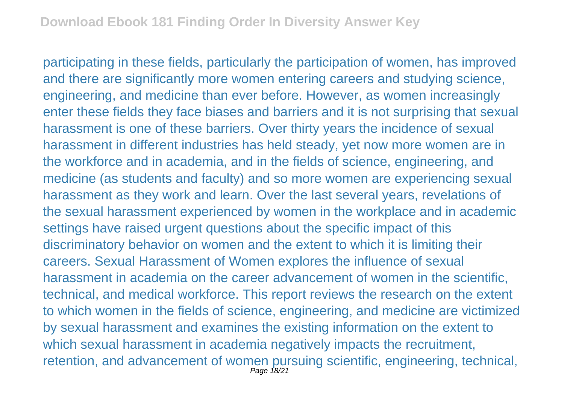participating in these fields, particularly the participation of women, has improved and there are significantly more women entering careers and studying science, engineering, and medicine than ever before. However, as women increasingly enter these fields they face biases and barriers and it is not surprising that sexual harassment is one of these barriers. Over thirty years the incidence of sexual harassment in different industries has held steady, yet now more women are in the workforce and in academia, and in the fields of science, engineering, and medicine (as students and faculty) and so more women are experiencing sexual harassment as they work and learn. Over the last several years, revelations of the sexual harassment experienced by women in the workplace and in academic settings have raised urgent questions about the specific impact of this discriminatory behavior on women and the extent to which it is limiting their careers. Sexual Harassment of Women explores the influence of sexual harassment in academia on the career advancement of women in the scientific, technical, and medical workforce. This report reviews the research on the extent to which women in the fields of science, engineering, and medicine are victimized by sexual harassment and examines the existing information on the extent to which sexual harassment in academia negatively impacts the recruitment, retention, and advancement of women pursuing scientific, engineering, technical, Page 18/21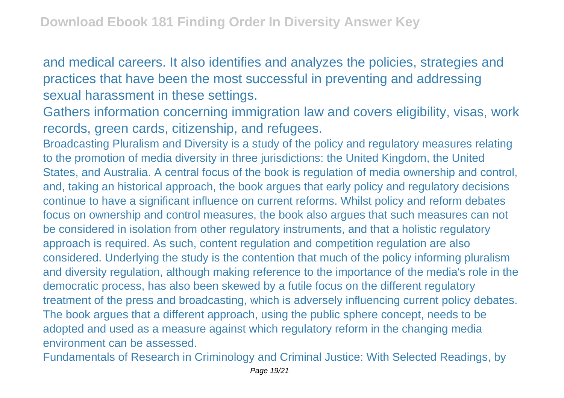and medical careers. It also identifies and analyzes the policies, strategies and practices that have been the most successful in preventing and addressing sexual harassment in these settings.

Gathers information concerning immigration law and covers eligibility, visas, work records, green cards, citizenship, and refugees.

Broadcasting Pluralism and Diversity is a study of the policy and regulatory measures relating to the promotion of media diversity in three jurisdictions: the United Kingdom, the United States, and Australia. A central focus of the book is regulation of media ownership and control, and, taking an historical approach, the book argues that early policy and regulatory decisions continue to have a significant influence on current reforms. Whilst policy and reform debates focus on ownership and control measures, the book also argues that such measures can not be considered in isolation from other regulatory instruments, and that a holistic regulatory approach is required. As such, content regulation and competition regulation are also considered. Underlying the study is the contention that much of the policy informing pluralism and diversity regulation, although making reference to the importance of the media's role in the democratic process, has also been skewed by a futile focus on the different regulatory treatment of the press and broadcasting, which is adversely influencing current policy debates. The book argues that a different approach, using the public sphere concept, needs to be adopted and used as a measure against which regulatory reform in the changing media environment can be assessed.

Fundamentals of Research in Criminology and Criminal Justice: With Selected Readings, by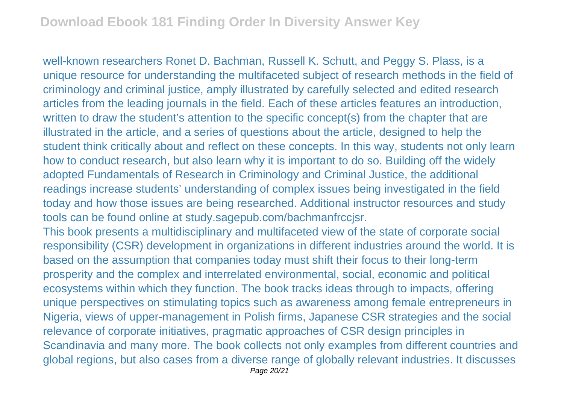well-known researchers Ronet D. Bachman, Russell K. Schutt, and Peggy S. Plass, is a unique resource for understanding the multifaceted subject of research methods in the field of criminology and criminal justice, amply illustrated by carefully selected and edited research articles from the leading journals in the field. Each of these articles features an introduction, written to draw the student's attention to the specific concept(s) from the chapter that are illustrated in the article, and a series of questions about the article, designed to help the student think critically about and reflect on these concepts. In this way, students not only learn how to conduct research, but also learn why it is important to do so. Building off the widely adopted Fundamentals of Research in Criminology and Criminal Justice, the additional readings increase students' understanding of complex issues being investigated in the field today and how those issues are being researched. Additional instructor resources and study tools can be found online at study.sagepub.com/bachmanfrccjsr.

This book presents a multidisciplinary and multifaceted view of the state of corporate social responsibility (CSR) development in organizations in different industries around the world. It is based on the assumption that companies today must shift their focus to their long-term prosperity and the complex and interrelated environmental, social, economic and political ecosystems within which they function. The book tracks ideas through to impacts, offering unique perspectives on stimulating topics such as awareness among female entrepreneurs in Nigeria, views of upper-management in Polish firms, Japanese CSR strategies and the social relevance of corporate initiatives, pragmatic approaches of CSR design principles in Scandinavia and many more. The book collects not only examples from different countries and global regions, but also cases from a diverse range of globally relevant industries. It discusses